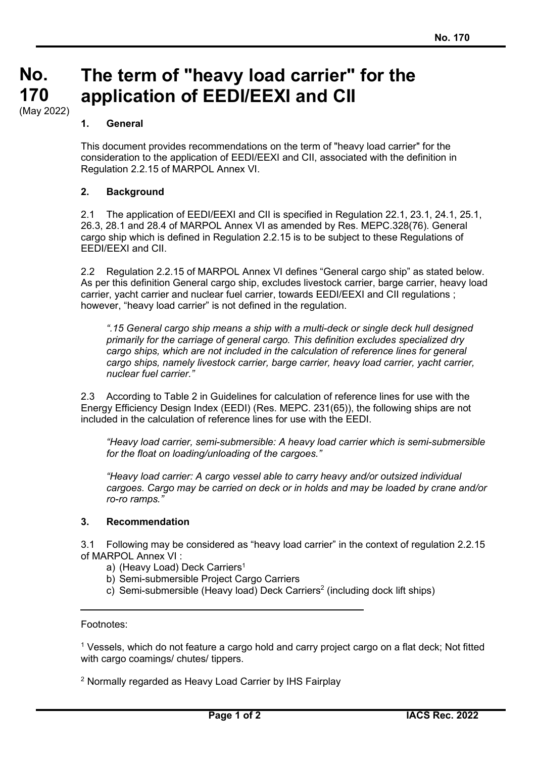## **No. No. 170 170** (May 2022) **The term of "heavy load carrier" for the application of EEDI/EEXI and CII**

## **1. General**

This document provides recommendations on the term of "heavy load carrier" for the consideration to the application of EEDI/EEXI and CII, associated with the definition in Regulation 2.2.15 of MARPOL Annex VI.

## **2. Background**

2.1 The application of EEDI/EEXI and CII is specified in Regulation 22.1, 23.1, 24.1, 25.1, 26.3, 28.1 and 28.4 of MARPOL Annex VI as amended by Res. MEPC.328(76). General cargo ship which is defined in Regulation 2.2.15 is to be subject to these Regulations of EEDI/EEXI and CII.

2.2 Regulation 2.2.15 of MARPOL Annex VI defines "General cargo ship" as stated below. As per this definition General cargo ship, excludes livestock carrier, barge carrier, heavy load carrier, yacht carrier and nuclear fuel carrier, towards EEDI/EEXI and CII regulations ; however, "heavy load carrier" is not defined in the regulation.

*".15 General cargo ship means a ship with a multi-deck or single deck hull designed primarily for the carriage of general cargo. This definition excludes specialized dry cargo ships, which are not included in the calculation of reference lines for general cargo ships, namely livestock carrier, barge carrier, heavy load carrier, yacht carrier, nuclear fuel carrier."*

2.3 According to Table 2 in Guidelines for calculation of reference lines for use with the Energy Efficiency Design Index (EEDI) (Res. MEPC. 231(65)), the following ships are not included in the calculation of reference lines for use with the EEDI.

*"Heavy load carrier, semi-submersible: A heavy load carrier which is semi-submersible for the float on loading/unloading of the cargoes."*

*"Heavy load carrier: A cargo vessel able to carry heavy and/or outsized individual cargoes. Cargo may be carried on deck or in holds and may be loaded by crane and/or ro-ro ramps."*

## **3. Recommendation**

3.1 Following may be considered as "heavy load carrier" in the context of regulation 2.2.15 of MARPOL Annex VI :

a) (Heavy Load) Deck Carriers<sup>1</sup>

- b) Semi-submersible Project Cargo Carriers
- c) Semi-submersible (Heavy load) Deck Carriers2 (including dock lift ships)

Footnotes:

<sup>1</sup> Vessels, which do not feature a cargo hold and carry project cargo on a flat deck; Not fitted with cargo coamings/ chutes/ tippers.

<sup>2</sup> Normally regarded as Heavy Load Carrier by IHS Fairplay